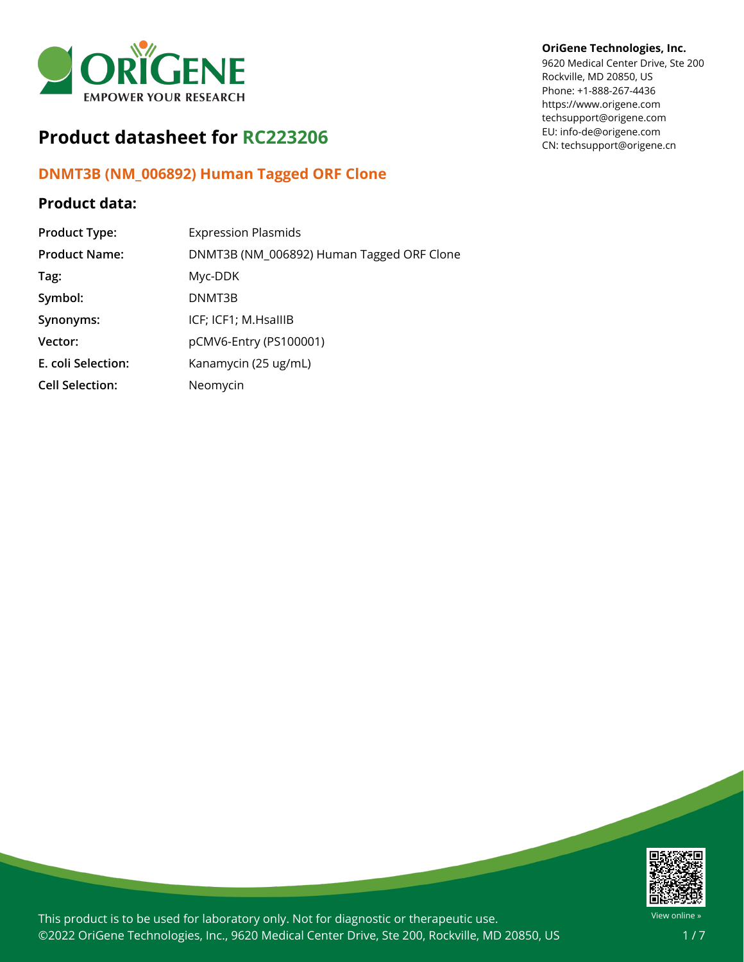

# **Product datasheet for RC223206**

## **DNMT3B (NM\_006892) Human Tagged ORF Clone**

## **Product data:**

| <b>Product Type:</b>   | <b>Expression Plasmids</b>                |
|------------------------|-------------------------------------------|
| <b>Product Name:</b>   | DNMT3B (NM_006892) Human Tagged ORF Clone |
| Tag:                   | Myc-DDK                                   |
| Symbol:                | DNMT3B                                    |
| Synonyms:              | ICF; ICF1; M.HsallIB                      |
| Vector:                | pCMV6-Entry (PS100001)                    |
| E. coli Selection:     | Kanamycin (25 ug/mL)                      |
| <b>Cell Selection:</b> | Neomycin                                  |

## **OriGene Technologies, Inc.**

9620 Medical Center Drive, Ste 200 Rockville, MD 20850, US Phone: +1-888-267-4436 https://www.origene.com techsupport@origene.com EU: info-de@origene.com CN: techsupport@origene.cn



This product is to be used for laboratory only. Not for diagnostic or therapeutic use. ©2022 OriGene Technologies, Inc., 9620 Medical Center Drive, Ste 200, Rockville, MD 20850, US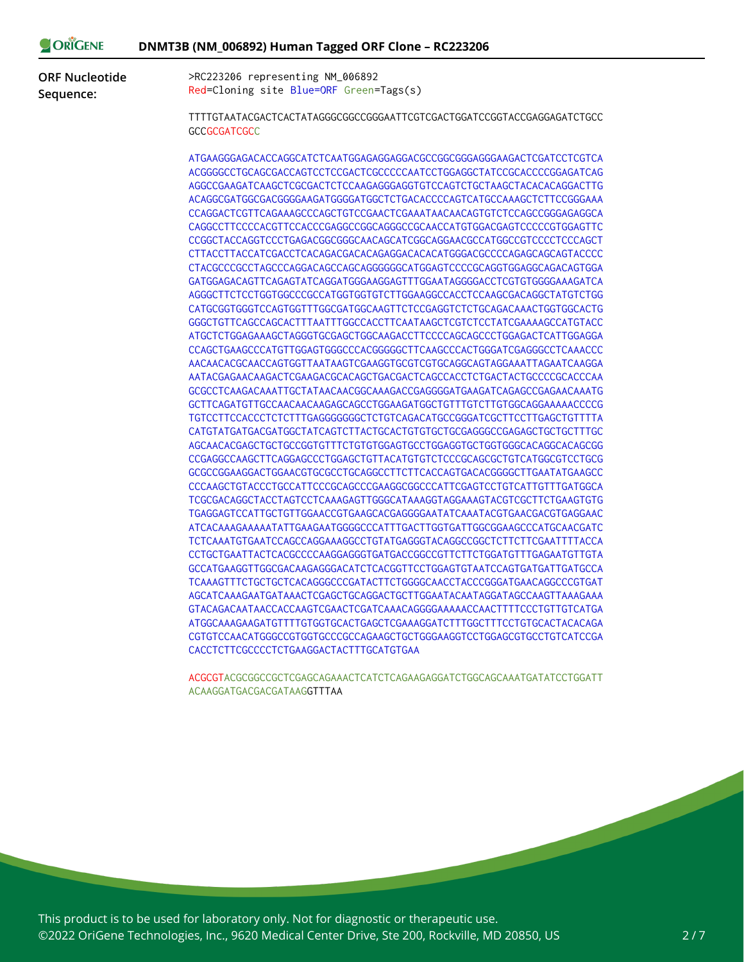| NE |  | DNMT3B (NM_006892) Human Tagged ORF Clone - RC223206 |  |  |
|----|--|------------------------------------------------------|--|--|
|----|--|------------------------------------------------------|--|--|

**ORF Nucleotide Sequence:**

ORIGEN

>RC223206 representing NM\_006892 Red=Cloning site Blue=ORF Green=Tags(s)

TTTTGTAATACGACTCACTATAGGGCGGCCGGGAATTCGTCGACTGGATCCGGTACCGAGGAGATCTGCC **GCCGCGATCGCC** 

ATGAAGGGAGACACCAGGCATCTCAATGGAGAGGAGGACGCCGGCGGGAGGGAAGACTCGATCCTCGTCA ACGGGGCCTGCAGCGACCAGTCCTCCGACTCGCCCCCAATCCTGGAGGCTATCCGCACCCCGGAGATCAG AGGCCGAAGATCAAGCTCGCGACTCTCCAAGAGGGAGGTGTCCAGTCTGCTAAGCTACACACAGGACTTG ACAGGCGATGGCGACGGGGAAGATGGGGATGGCTCTGACACCCCAGTCATGCCAAAGCTCTTCCGGGAAA CCAGGACTCGTTCAGAAAGCCCAGCTGTCCGAACTCGAAATAACAACAGTGTCTCCAGCCGGGAGAGGCA CAGGCCTTCCCCACGTTCCACCCGAGGCCGGCAGGGCCGCAACCATGTGGACGAGTCCCCCGTGGAGTTC CCGGCTACCAGGTCCCTGAGACGGCGGGCAACAGCATCGGCAGGAACGCCATGGCCGTCCCCTCCCAGCT CTTACCTTACCATCGACCTCACAGACGACACAGAGGACACACATGGGACGCCCCAGAGCAGCAGTACCCC CTACGCCCGCCTAGCCCAGGACAGCCAGCAGGGGGGCATGGAGTCCCCGCAGGTGGAGGCAGACAGTGGA GATGGAGACAGTTCAGAGTATCAGGATGGGAAGGAGTTTGGAATAGGGGACCTCGTGTGGGGAAAGATCA AGGGCTTCTCCTGGTGGCCCGCCATGGTGGTGTCTTGGAAGGCCACCTCCAAGCGACAGGCTATGTCTGG CATGCGGTGGGTCCAGTGGTTTGGCGATGGCAAGTTCTCCGAGGTCTCTGCAGACAAACTGGTGGCACTG GGGCTGTTCAGCCAGCACTTTAATTTGGCCACCTTCAATAAGCTCGTCTCCTATCGAAAAGCCATGTACC ATGCTCTGGAGAAAGCTAGGGTGCGAGCTGGCAAGACCTTCCCCAGCAGCCCTGGAGACTCATTGGAGGA CCAGCTGAAGCCCATGTTGGAGTGGGCCCACGGGGGCTTCAAGCCCACTGGGATCGAGGGCCTCAAACCC AACAACACGCAACCAGTGGTTAATAAGTCGAAGGTGCGTCGTGCAGGCAGTAGGAAATTAGAATCAAGGA AATACGAGAACAAGACTCGAAGACGCACAGCTGACGACTCAGCCACCTCTGACTACTGCCCCGCACCCAA GCGCCTCAAGACAAATTGCTATAACAACGGCAAAGACCGAGGGGATGAAGATCAGAGCCGAGAACAAATG GCTTCAGATGTTGCCAACAACAAGAGCAGCCTGGAAGATGGCTGTTTGTCTTGTGGCAGGAAAAACCCCG TGTCCTTCCACCCTCTCTTTGAGGGGGGGCTCTGTCAGACATGCCGGGATCGCTTCCTTGAGCTGTTTTA CATGTATGATGACGATGGCTATCAGTCTTACTGCACTGTGTGCTGCGAGGGCCGAGAGCTGCTGCTTTGC AGCAACACGAGCTGCTGCCGGTGTTTCTGTGTGGAGTGCCTGGAGGTGCTGGTGGGCACAGGCACAGCGG CCGAGGCCAAGCTTCAGGAGCCCTGGAGCTGTTACATGTGTCTCCCGCAGCGCTGTCATGGCGTCCTGCG GCGCCGGAAGGACTGGAACGTGCGCCTGCAGGCCTTCTTCACCAGTGACACGGGGCTTGAATATGAAGCC CCCAAGCTGTACCCTGCCATTCCCGCAGCCCGAAGGCGGCCCATTCGAGTCCTGTCATTGTTTGATGGCA TCGCGACAGGCTACCTAGTCCTCAAAGAGTTGGGCATAAAGGTAGGAAAGTACGTCGCTTCTGAAGTGTG TGAGGAGTCCATTGCTGTTGGAACCGTGAAGCACGAGGGGAATATCAAATACGTGAACGACGTGAGGAAC ATCACAAAGAAAAATATTGAAGAATGGGGCCCATTTGACTTGGTGATTGGCGGAAGCCCATGCAACGATC TCTCAAATGTGAATCCAGCCAGGAAAGGCCTGTATGAGGGTACAGGCCGGCTCTTCTTCGAATTTTACCA CCTGCTGAATTACTCACGCCCCAAGGAGGGTGATGACCGGCCGTTCTTCTGGATGTTTGAGAATGTTGTA GCCATGAAGGTTGGCGACAAGAGGGACATCTCACGGTTCCTGGAGTGTAATCCAGTGATGATTGATGCCA TCAAAGTTTCTGCTGCTCACAGGGCCCGATACTTCTGGGGCAACCTACCCGGGATGAACAGGCCCGTGAT AGCATCAAAGAATGATAAACTCGAGCTGCAGGACTGCTTGGAATACAATAGGATAGCCAAGTTAAAGAAA GTACAGACAATAACCACCAAGTCGAACTCGATCAAACAGGGGAAAAACCAACTTTTCCCTGTTGTCATGA ATGGCAAAGAAGATGTTTTGTGGTGCACTGAGCTCGAAAGGATCTTTGGCTTTCCTGTGCACTACACAGA CGTGTCCAACATGGGCCGTGGTGCCCGCCAGAAGCTGCTGGGAAGGTCCTGGAGCGTGCCTGTCATCCGA CACCTCTTCGCCCCTCTGAAGGACTACTTTGCATGTGAA

ACGCGTACGCGGCCGCTCGAGCAGAAACTCATCTCAGAAGAGGATCTGGCAGCAAATGATATCCTGGATT ACAAGGATGACGACGATAAGGTTTAA

This product is to be used for laboratory only. Not for diagnostic or therapeutic use. ©2022 OriGene Technologies, Inc., 9620 Medical Center Drive, Ste 200, Rockville, MD 20850, US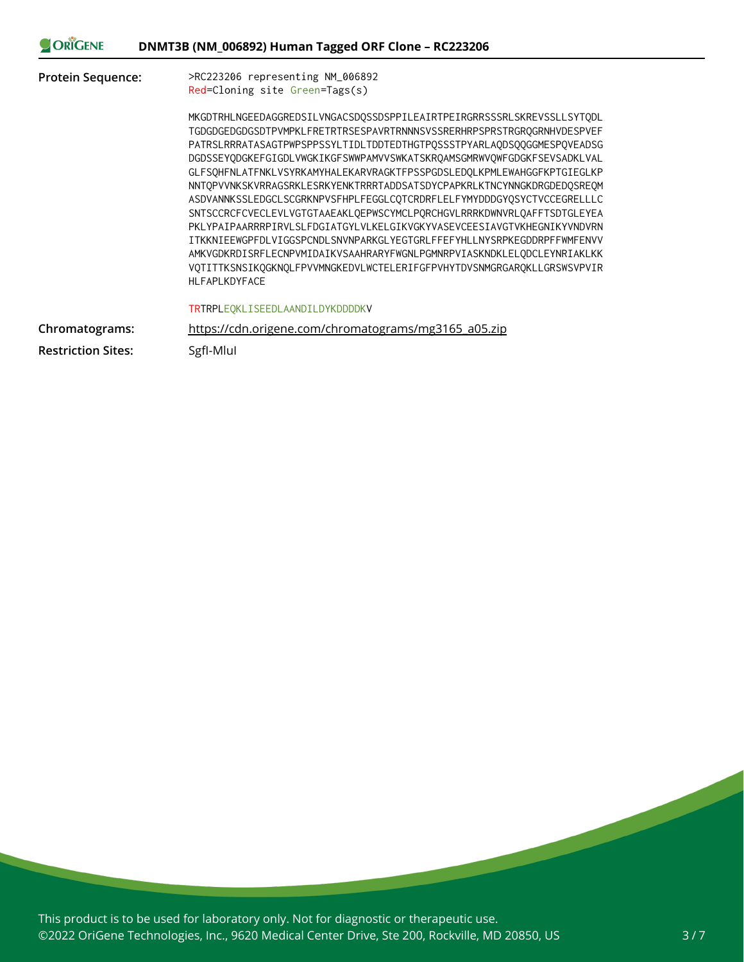| ORIGENE                   | DNMT3B (NM_006892) Human Tagged ORF Clone - RC223206                   |
|---------------------------|------------------------------------------------------------------------|
| <b>Protein Sequence:</b>  | >RC223206 representing NM_006892                                       |
|                           | Red=Cloning site Green=Tags(s)                                         |
|                           | MKGDTRHLNGEEDAGGREDSILVNGACSDOSSDSPPILEAIRTPEIRGRRSSSRLSKREVSSLLSYTODL |
|                           | TGDGDGEDGDGSDTPVMPKLFRETRTRSESPAVRTRNNNSVSSRERHRPSPRSTRGROGRNHVDESPVEF |
|                           | PATRSLRRRATASAGTPWPSPPSSYLTIDLTDDTEDTHGTP0SSSTPYARLAODS00GGMESP0VEADSG |
|                           | DGDSSEYODGKEFGIGDLVWGKIKGFSWWPAMVVSWKATSKROAMSGMRWVOWFGDGKFSEVSADKLVAL |
|                           | GLFSQHFNLATFNKLVSYRKAMYHALEKARVRAGKTFPSSPGDSLEDQLKPMLEWAHGGFKPTGIEGLKP |
|                           | NNTQPVVNKSKVRRAGSRKLESRKYENKTRRRTADDSATSDYCPAPKRLKTNCYNNGKDRGDEDQSREQM |
|                           | ASDVANNKSSLEDGCLSCGRKNPVSFHPLFEGGLCOTCRDRFLELFYMYDDDGYOSYCTVCCEGRELLLC |
|                           | SNTSCCRCFCVECLEVLVGTGTAAEAKLQEPWSCYMCLPQRCHGVLRRRKDWNVRLQAFFTSDTGLEYEA |
|                           | PKLYPAIPAARRRPIRVLSLFDGIATGYLVLKELGIKVGKYVASEVCEESIAVGTVKHEGNIKYVNDVRN |
|                           | ITKKNIEEWGPFDLVIGGSPCNDLSNVNPARKGLYEGTGRLFFEFYHLLNYSRPKEGDDRPFFWMFENVV |
|                           | AMKVGDKRDISRFLECNPVMIDAIKVSAAHRARYFWGNLPGMNRPVIASKNDKLELODCLEYNRIAKLKK |
|                           | VOTITTKSNSIKOGKNOLFPVVMNGKEDVLWCTELERIFGFPVHYTDVSNMGRGAROKLLGRSWSVPVIR |
|                           | HLFAPLKDYFACE                                                          |
|                           | TRTRPLEQKLISEEDLAANDILDYKDDDDKV                                        |
| Chromatograms:            | https://cdn.origene.com/chromatograms/mg3165 a05.zip                   |
| <b>Restriction Sites:</b> | SgfI-Mlul                                                              |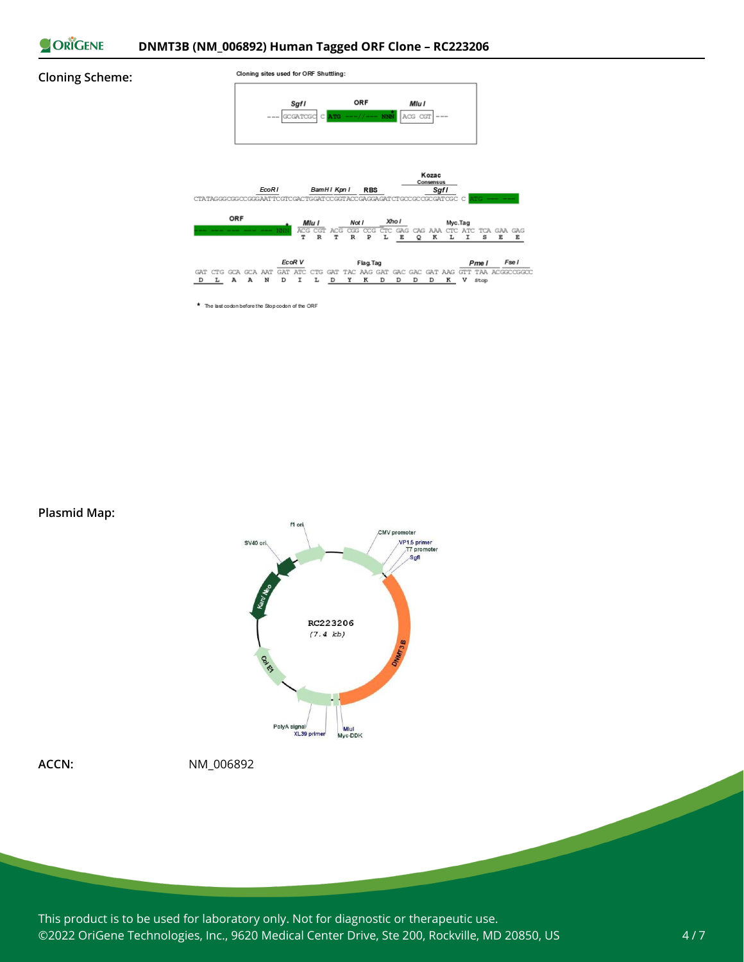

### **Cloning Scheme:**



\* The last codon before the Stop codon of the ORF

**Plasmid Map:**





**ACCN:** NM\_006892

This product is to be used for laboratory only. Not for diagnostic or therapeutic use. ©2022 OriGene Technologies, Inc., 9620 Medical Center Drive, Ste 200, Rockville, MD 20850, US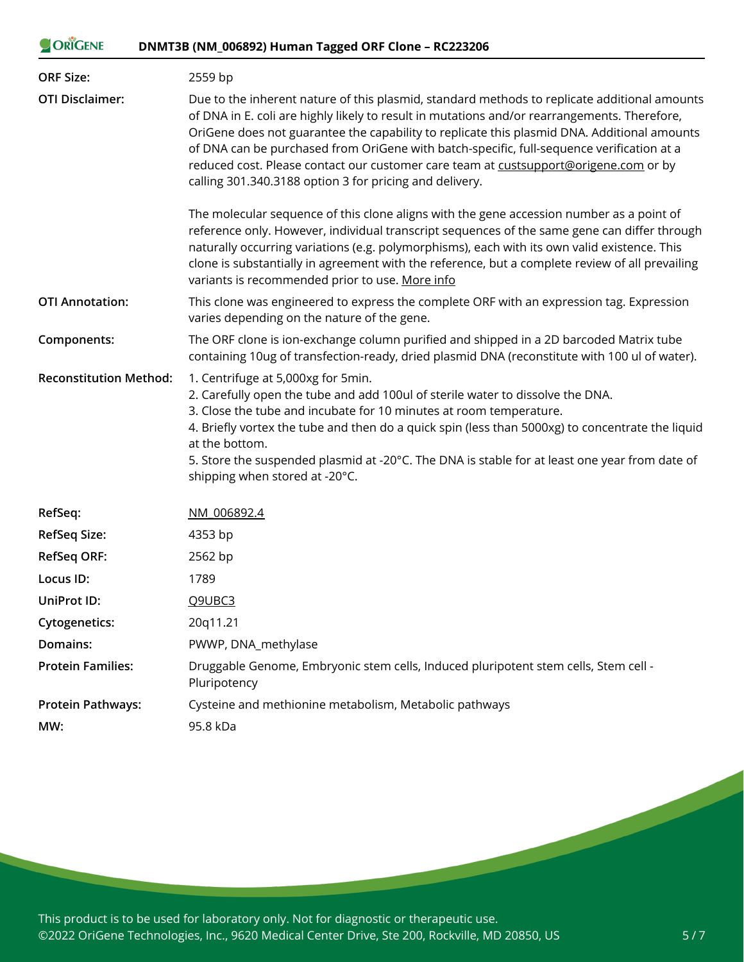| ORIGENE                       | DNMT3B (NM_006892) Human Tagged ORF Clone - RC223206                                                                                                                                                                                                                                                                                                                                                                                                                                                                                        |  |
|-------------------------------|---------------------------------------------------------------------------------------------------------------------------------------------------------------------------------------------------------------------------------------------------------------------------------------------------------------------------------------------------------------------------------------------------------------------------------------------------------------------------------------------------------------------------------------------|--|
| <b>ORF Size:</b>              | 2559 bp                                                                                                                                                                                                                                                                                                                                                                                                                                                                                                                                     |  |
| <b>OTI Disclaimer:</b>        | Due to the inherent nature of this plasmid, standard methods to replicate additional amounts<br>of DNA in E. coli are highly likely to result in mutations and/or rearrangements. Therefore,<br>OriGene does not guarantee the capability to replicate this plasmid DNA. Additional amounts<br>of DNA can be purchased from OriGene with batch-specific, full-sequence verification at a<br>reduced cost. Please contact our customer care team at custsupport@origene.com or by<br>calling 301.340.3188 option 3 for pricing and delivery. |  |
|                               | The molecular sequence of this clone aligns with the gene accession number as a point of<br>reference only. However, individual transcript sequences of the same gene can differ through<br>naturally occurring variations (e.g. polymorphisms), each with its own valid existence. This<br>clone is substantially in agreement with the reference, but a complete review of all prevailing<br>variants is recommended prior to use. More info                                                                                              |  |
| <b>OTI Annotation:</b>        | This clone was engineered to express the complete ORF with an expression tag. Expression<br>varies depending on the nature of the gene.                                                                                                                                                                                                                                                                                                                                                                                                     |  |
| Components:                   | The ORF clone is ion-exchange column purified and shipped in a 2D barcoded Matrix tube<br>containing 10ug of transfection-ready, dried plasmid DNA (reconstitute with 100 ul of water).                                                                                                                                                                                                                                                                                                                                                     |  |
| <b>Reconstitution Method:</b> | 1. Centrifuge at 5,000xg for 5min.<br>2. Carefully open the tube and add 100ul of sterile water to dissolve the DNA.<br>3. Close the tube and incubate for 10 minutes at room temperature.<br>4. Briefly vortex the tube and then do a quick spin (less than 5000xg) to concentrate the liquid<br>at the bottom.<br>5. Store the suspended plasmid at -20°C. The DNA is stable for at least one year from date of<br>shipping when stored at -20°C.                                                                                         |  |
| RefSeq:                       | NM 006892.4                                                                                                                                                                                                                                                                                                                                                                                                                                                                                                                                 |  |
| <b>RefSeq Size:</b>           | 4353 bp                                                                                                                                                                                                                                                                                                                                                                                                                                                                                                                                     |  |
| <b>RefSeq ORF:</b>            | 2562 bp                                                                                                                                                                                                                                                                                                                                                                                                                                                                                                                                     |  |
| Locus ID:                     | 1789                                                                                                                                                                                                                                                                                                                                                                                                                                                                                                                                        |  |
| UniProt ID:                   | Q9UBC3                                                                                                                                                                                                                                                                                                                                                                                                                                                                                                                                      |  |
| <b>Cytogenetics:</b>          | 20q11.21                                                                                                                                                                                                                                                                                                                                                                                                                                                                                                                                    |  |
| Domains:                      | PWWP, DNA_methylase                                                                                                                                                                                                                                                                                                                                                                                                                                                                                                                         |  |
| <b>Protein Families:</b>      | Druggable Genome, Embryonic stem cells, Induced pluripotent stem cells, Stem cell -<br>Pluripotency                                                                                                                                                                                                                                                                                                                                                                                                                                         |  |
| <b>Protein Pathways:</b>      | Cysteine and methionine metabolism, Metabolic pathways                                                                                                                                                                                                                                                                                                                                                                                                                                                                                      |  |

**MW:** 95.8 kDa

This product is to be used for laboratory only. Not for diagnostic or therapeutic use. ©2022 OriGene Technologies, Inc., 9620 Medical Center Drive, Ste 200, Rockville, MD 20850, US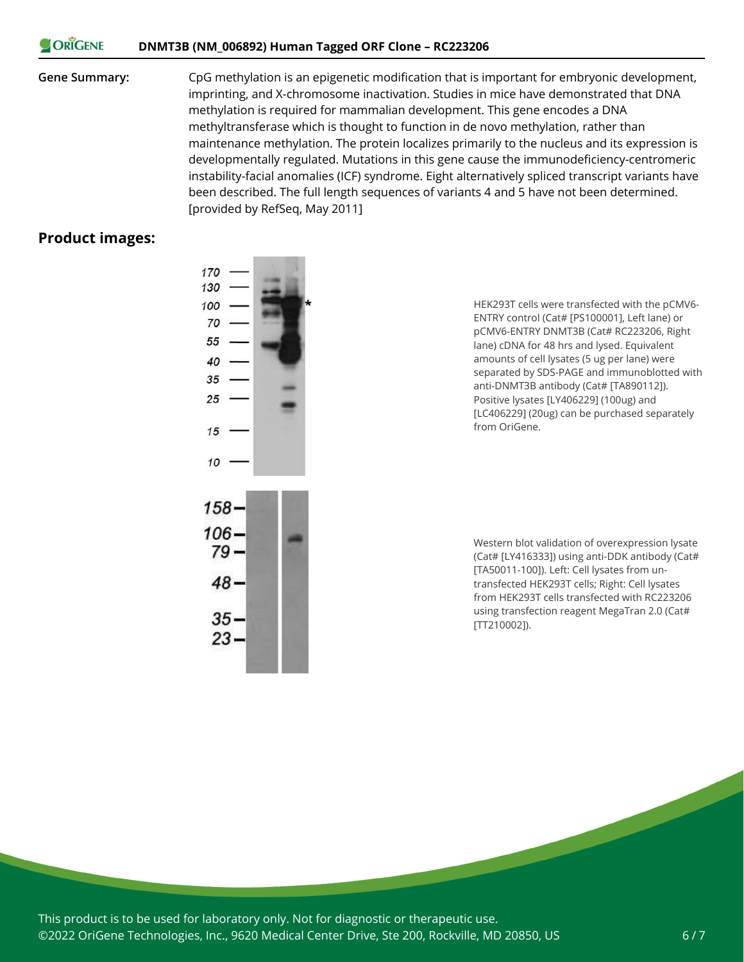#### ORIGENE **DNMT3B (NM\_006892) Human Tagged ORF Clone – RC223206**

**Gene Summary:** CpG methylation is an epigenetic modification that is important for embryonic development, imprinting, and X-chromosome inactivation. Studies in mice have demonstrated that DNA methylation is required for mammalian development. This gene encodes a DNA methyltransferase which is thought to function in de novo methylation, rather than maintenance methylation. The protein localizes primarily to the nucleus and its expression is developmentally regulated. Mutations in this gene cause the immunodeficiency-centromeric instability-facial anomalies (ICF) syndrome. Eight alternatively spliced transcript variants have been described. The full length sequences of variants 4 and 5 have not been determined. [provided by RefSeq, May 2011]

## **Product images:**



HEK293T cells were transfected with the pCMV6- ENTRY control (Cat# [PS100001], Left lane) or pCMV6-ENTRY DNMT3B (Cat# RC223206, Right lane) cDNA for 48 hrs and lysed. Equivalent amounts of cell lysates (5 ug per lane) were separated by SDS-PAGE and immunoblotted with anti-DNMT3B antibody (Cat# [TA890112]). Positive lysates [LY406229] (100ug) and [LC406229] (20ug) can be purchased separately from OriGene.

Western blot validation of overexpression lysate (Cat# [LY416333]) using anti-DDK antibody (Cat# [TA50011-100]). Left: Cell lysates from untransfected HEK293T cells; Right: Cell lysates from HEK293T cells transfected with RC223206 using transfection reagent MegaTran 2.0 (Cat# [TT210002]).

This product is to be used for laboratory only. Not for diagnostic or therapeutic use. ©2022 OriGene Technologies, Inc., 9620 Medical Center Drive, Ste 200, Rockville, MD 20850, US